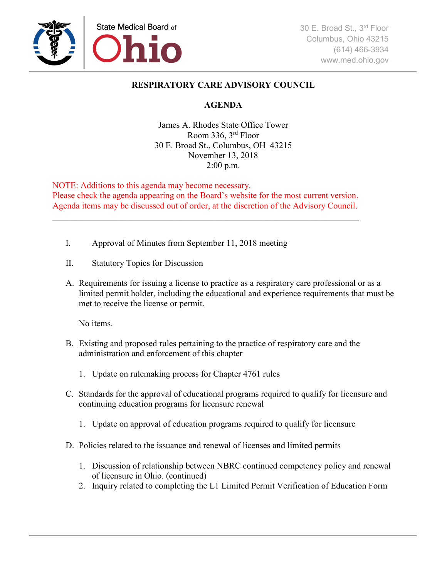

## **RESPIRATORY CARE ADVISORY COUNCIL**

## **AGENDA**

James A. Rhodes State Office Tower Room 336, 3rd Floor 30 E. Broad St., Columbus, OH 43215 November 13, 2018 2:00 p.m.

NOTE: Additions to this agenda may become necessary. Please check the agenda appearing on the Board's website for the most current version. Agenda items may be discussed out of order, at the discretion of the Advisory Council.

\_\_\_\_\_\_\_\_\_\_\_\_\_\_\_\_\_\_\_\_\_\_\_\_\_\_\_\_\_\_\_\_\_\_\_\_\_\_\_\_\_\_\_\_\_\_\_\_\_\_\_\_\_\_\_\_\_\_\_\_\_\_\_\_\_\_\_\_\_\_

- I. Approval of Minutes from September 11, 2018 meeting
- II. Statutory Topics for Discussion
- A. Requirements for issuing a license to practice as a respiratory care professional or as a limited permit holder, including the educational and experience requirements that must be met to receive the license or permit.

No items.

- B. Existing and proposed rules pertaining to the practice of respiratory care and the administration and enforcement of this chapter
	- 1. Update on rulemaking process for Chapter 4761 rules
- C. Standards for the approval of educational programs required to qualify for licensure and continuing education programs for licensure renewal
	- 1. Update on approval of education programs required to qualify for licensure
- D. Policies related to the issuance and renewal of licenses and limited permits
	- 1. Discussion of relationship between NBRC continued competency policy and renewal of licensure in Ohio. (continued)
	- 2. Inquiry related to completing the L1 Limited Permit Verification of Education Form